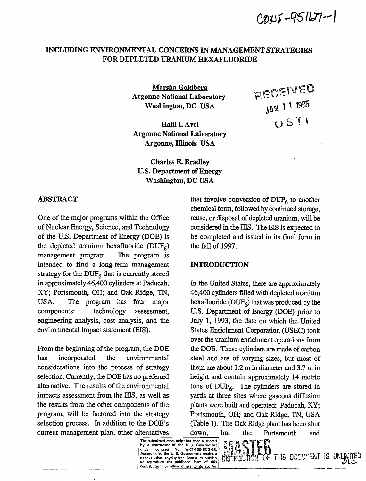$CØNF-95127-1$ 

RECEIVED

JAN 1 1 1995

USTI

# **INCLUDING ENVIRONMENTAL CONCERNS IN MANAGEMENT STRATEGIES FOR DEPLETED URANIUM HEXAFLUORIDE**

**Marsha Goldberg; Argonne National Laboratory Washington, DC USA** 

Halil I. Avci **Argonne National Laboratory Argonne, Illinois USA** 

**Charles E. Bradley U.S. Department of Energy Washington, DC USA** 

## **ABSTRACT**

One of the major programs within the Office of Nuclear Energy, Science, and Technology of the U.S. Department of Energy (DOE) is the depleted uranium hexafluoride  $(DUF_6)$ management program. The program is intended to find a long-term management strategy for the  $\text{DUF}_6$  that is currently stored in approximately 46,400 cylinders at Paducah, KY; Portsmouth, OH; and Oak Ridge, TN, USA. The program has four major components: technology assessment, engineering analysis, cost analysis, and the environmental impact statement (EIS).

From the beginning of the program, the DOE has incorporated the environmental considerations into the process of strategy selection. Currently, the DOE has no preferred alternative. The results of the environmental impacts assessment from the EIS, as well as the results from the other components of the program, will be factored into the strategy selection process. In addition to the DOE's current management plan, other alternatives

that involve conversion of  $DUF_6$  to another chemical form, followed by continued storage, reuse, or disposal of depleted uranium, will be considered in the EIS. The EIS is expected to be completed and issued in its final form in the fell of 1997.

## **INTRODUCTION**

In the United States, there are approximately 46,400 cylinders filled with depleted uranium hexafluoride ( $DUF<sub>6</sub>$ ) that was produced by the U.S. Department of Energy (DOE) prior to July 1, 1993, the date on which the United States Enrichment Corporation (USEC) took over the uranium enrichment operations from the DOE. These cylinders are made of carbon steel and are of varying sizes, but most of them are about 1.2 m in diameter and 3.7 m in height and contain approximately 14 metric tons of  $DUF_6$ . The cylinders are stored in yards at three sites where gaseous diffusion plants were built and operated: Paducah, KY; Portsmouth, OH; and Oak Ridge, TN, USA (Table 1). The Oak Ridge plant has been shut down, but the Portsmouth and

THIS DOCUMENT IS UNLIMITED

**The submitted manuscript has been authored**  by a contractor of the U.S. Government<br>under contract No. W-31-109-ENG-38.<br>Accordingly, the U.S. Government retains a<br>nonexclusive, royalty-free license to publish **or reproduce the published form of this contribution, or allow others to do so, for**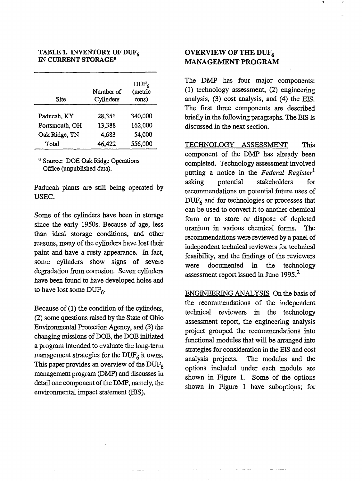### TABLE 1. INVENTORY OF DUF<sub>6</sub> IN CURRENT STORAGE<sup>3</sup>

| Site           | Number of<br>Cylinders | $DUF_6$<br>(metric<br>tons) |
|----------------|------------------------|-----------------------------|
| Paducah, KY    | 28,351                 | 340,000                     |
| Portsmouth, OH | 13,388                 | 162,000                     |
| Oak Ridge, TN  | 4,683                  | 54,000                      |
| Total          | 46,422                 | 556,000                     |

<sup>a</sup> Source: DOE Oak Ridge Operations Office (unpublished data).

Paducah plants are still being operated by USEC.

Some of the cylinders have been in storage since the early 1950s. Because of age, less than ideal storage conditions, and other reasons, many of the cylinders have lost their paint and have a rusty appearance. In fact, some cylinders show signs of severe degradation from corrosion. Seven cylinders have been found to have developed holes and to have lost some  $\text{DUF}_6$ .

Because of (1) the condition of the cylinders, (2) some questions raised by the State of Ohio Environmental Protection Agency, and (3) the changing missions of DOE, the DOE initiated a program intended to evaluate the long-term management strategies for the  $\text{DUF}_6$  it owns. This paper provides an overview of the  $DUF<sub>6</sub>$ management program (DMP) and discusses in detail one component of the DMP, namely, the environmental impact statement (EIS).

## OVERVIEW OF THE DUF<sub>6</sub> MANAGEMENT PROGRAM

The DMP has four major components: (1) technology assessment, (2) engineering analysis, (3) cost analysis, and (4) the EIS. The first three components are described briefly in the following paragraphs. The EIS is discussed in the next section.

TECHNOLOGY ASSESSMENT This component of the DMP has already been completed. Technology assessment involved putting a notice in the *Federal Register*  asking potential stakeholders for recommendations on potential future uses of  $DUF<sub>6</sub>$  and for technologies or processes that can be used to convert it to another chemical form or to store or dispose of depleted uranium in various chemical forms. The recommendations were reviewed by a panel of independent technical reviewers for technical feasibility, and the findings of the reviewers were documented in the technology assessment report issued in June 1995.<sup>2</sup>

ENGINEERING ANALYSIS On the basis of the recommendations of the independent technical reviewers in the technology assessment report, the engineering analysis project grouped the recommendations into functional modules that will be arranged into strategies for consideration in the EIS and cost analysis projects. The modules and the options included under each module are shown in Figure 1. Some of the options shown in Figure 1 have suboptions; for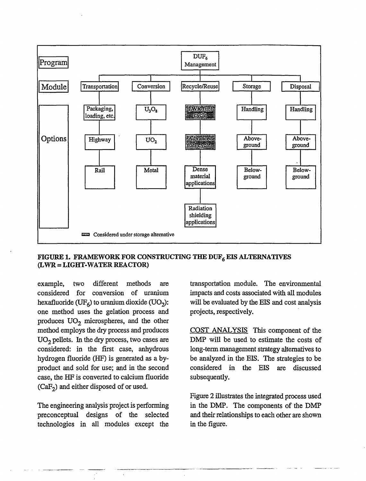

## FIGURE 1. FRAMEWORK FOR CONSTRUCTING THE  $\text{DUF}_6$  EIS ALTERNATIVES (LWR = LIGHT-WATER REACTOR)

example, two different methods are considered for conversion of uranium hexafluoride (UF<sub>6</sub>) to uranium dioxide (UO<sub>2</sub>): one method uses the gelation process and produces  $UO<sub>2</sub>$  microspheres, and the other method employs the dry process and produces  $UO<sub>2</sub>$  pellets. In the dry process, two cases are considered: in the first case, anhydrous hydrogen fluoride (HF) is generated as a byproduct and sold for use; and in the second case, the HF is converted to calcium fluoride  $(CaF<sub>2</sub>)$  and either disposed of or used.

The engineering analysis project is performing preconceptual designs of the selected technologies in all modules except the transportation module. The environmental impacts and costs associated with all modules will be evaluated by the EIS and cost analysis projects, respectively.

COST ANALYSIS This component of the DMP will be used to estimate the costs of long-term management strategy alternatives to be analyzed in the EIS. The strategies to be considered in the EIS are discussed subsequently.

Figure 2 illustrates the integrated process used in the DMP. The components of the DMP and their relationships to each other are shown in the figure.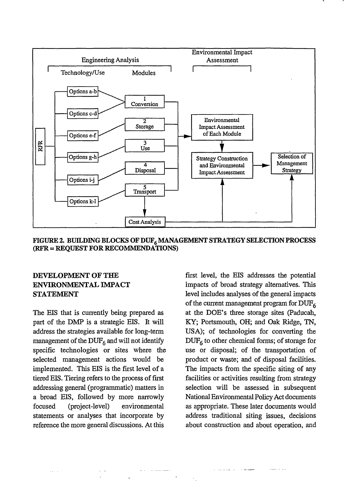

**FIGURE 2. BUILDING BLOCKS OF DUF<sup>6</sup> MANAGEMENT STRATEGY SELECTION PROCESS (RFR = REQUEST FOR RECOMMENDATIONS)** 

# **DEVELOPMENT OF THE ENVIRONMENTAL IMPACT STATEMENT**

The EIS that is currently being prepared as part of the DMP is a strategic EIS. It will address the strategies available for long-term management of the  $\text{DUF}_6$  and will not identify specific technologies or sites where the selected management actions would be implemented. This EIS is the first level of a tiered EIS. Tiering refers to the process of first addressing general (programmatic) matters in a broad EIS, followed by more narrowly focused (project-level) environmental statements or analyses that incorporate by reference the more general discussions. At this

first level, the EIS addresses the potential impacts of broad strategy alternatives. This level includes analyses of the general impacts of the current management program for **DUF<sup>6</sup>** at the DOE's three storage sites (Paducah, KY; Portsmouth, OH; and Oak Ridge, TN, USA); of technologies for converting the  $DUF<sub>6</sub>$  to other chemical forms; of storage for use or disposal; of the transportation of product or waste; and of disposal facilities. The impacts from the specific siting of any facilities or activities resulting from strategy selection will be assessed in subsequent National Environmental Policy Act documents as appropriate. These later documents would address traditional siting issues, decisions about construction and about operation, and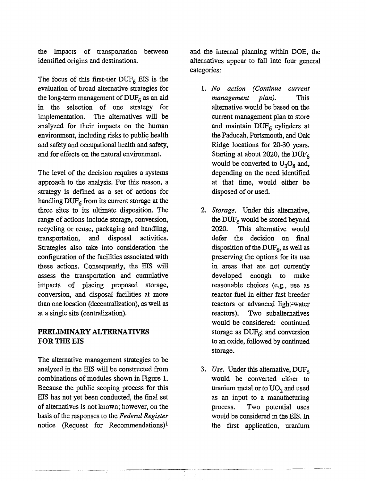the impacts of transportation between identified origins and destinations.

The focus of this first-tier  $DUF_6$  EIS is the evaluation of broad alternative strategies for the long-term management of  $\text{DUF}_6$  as an aid in the selection of one strategy for implementation. The alternatives will be analyzed for their impacts on the human environment, including risks to public health and safety and occupational health and safety, and for effects on the natural environment.

The level of the decision requires a systems approach to the analysis. For this reason, a strategy is defined as a set of actions for handling  $\text{DUF}_6$  from its current storage at the three sites to its ultimate disposition. The range of actions include storage, conversion, recycling or reuse, packaging and handling, transportation, and disposal activities. Strategies also take into consideration the configuration of the facilities associated with these actions. Consequently, the EIS will assess the transportation and cumulative impacts of placing proposed storage, conversion, and disposal facilities at more than one location (decentralization), as well as at a single site (centralization).

# **PRELIMINARY ALTERNATIVES FOR THE EIS**

The alternative management strategies to be analyzed in the EIS will be constructed from combinations of modules shown in Figure 1. Because the public scoping process for this EIS has not yet been conducted, the final set of alternatives is not known; however, on the basis of the responses to the *Federal Register*  notice (Request for Recommendations)<sup>1</sup>

and the internal planning within DOE, the alternatives appear to fall into four general categories:

- 1. *No action (Continue current management plan).* This alternative would be based on the current management plan to store and maintain  $DUF<sub>6</sub>$  cylinders at the Paducah, Portsmouth, and Oak Ridge locations for 20-30 years. Starting at about 2020, the DUF<sub>6</sub> would be converted to  $U_3O_8$  and, depending on the need identified at that time, would either be disposed of or used.
- 2. *Storage.* Under this alternative, the  $\text{DUF}_6$  would be stored beyond 2020. This alternative would defer the decision on final disposition of the DUF<sub>6</sub>, as well as preserving the options for its use in areas that are not currently developed enough to make reasonable choices (e.g., use as reactor fuel in either fast breeder reactors or advanced light-water reactors). Two subalternatives would be considered: continued storage as  $DUF<sub>6</sub>$ ; and conversion to an oxide, followed by continued storage.
- 3. Use. Under this alternative,  $DUF<sub>6</sub>$ would be converted either to uranium metal or to  $UO<sub>2</sub>$  and used as an input to a manufacturing process. Two potential uses would be considered in the EIS. In the first application, uranium

G.  $\mathbf{r}$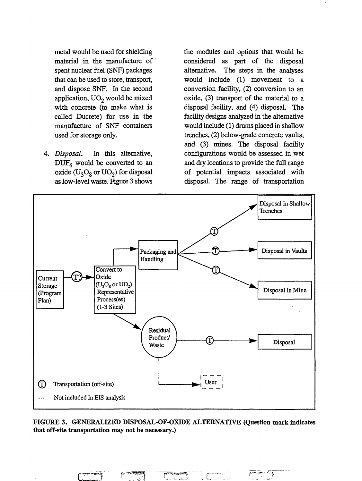metal would be used for shielding material in the manufacture of spent nuclear fuel (SNF) packages that can be used to store, transport, and dispose SNF. In the second application,  $UO<sub>2</sub>$  would be mixed with concrete (to make what is called Ducrete) for use in the manufacture of SNF containers used for storage only.

*Disposal.* In this alternative,  $DUF_6$  would be converted to an oxide  $(U_3O_8$  or  $UO_2$ ) for disposal as low-level waste. Figure 3 shows

the modules and options that would be considered as part of the disposal alternative. The steps in the analyses would include (1) movement to a conversion facility, (2) conversion to an oxide, (3) transport of the material to a disposal facility, and (4) disposal. The facility designs analyzed in the alternative would include (1) drums placed in shallow trenches, (2) below-grade concrete vaults, and (3) mines. The disposal facility configurations would be assessed in wet and dry locations to provide the full range of potential impacts associated with disposal. The range of transportation

أحدمته



FIGURE 3. GENERALIZED DISPOSAL-OF-OXIDE ALTERNATIVE (Question mark indicates that off-site transportation may not be necessary.)

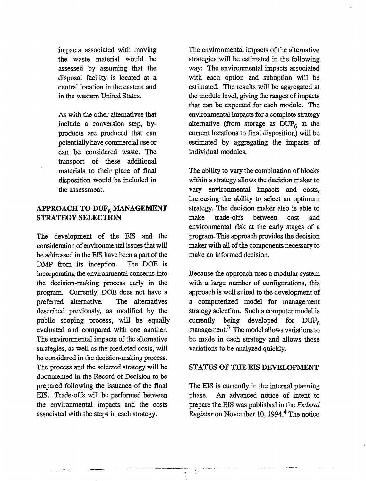impacts associated with moving the waste material would be assessed by assuming that the disposal facility is located at a central location in the eastern and in the western United States.

As with the other alternatives that include a conversion step, byproducts are produced that can potentially have commercial use or can be considered waste. The transport of these additional materials to their place of final disposition would be included in the assessment.

## **APPROACH TO DUF<sup>6</sup> MANAGEMENT STRATEGY SELECTION**

The development of the EIS and the consideration of environmental issues that will be addressed in the EIS have been a part of the DMP from its inception. The DOE is incorporating the environmental concerns into the decision-making process early in the program. Currently, DOE does not have a preferred alternative. The alternatives described previously, as modified by the public scoping process, will be equally evaluated and compared with one another. The environmental impacts of the alternative strategies, as well as the predicted costs, will be considered in the decision-making process. The process and the selected strategy will be documented in the Record of Decision to be prepared following the issuance of the final EIS. Trade-offs will be performed between the environmental impacts and the costs associated with the steps in each strategy.

The environmental impacts of the alternative strategies will be estimated in the following way: The environmental impacts associated with each option and suboption will be estimated. The results will be aggregated at the module level, giving the ranges of impacts that can be expected for each module. The environmental impacts for a complete strategy alternative (from storage as  $DUF_6$  at the current locations to final disposition) will be estimated by aggregating the impacts of individual modules.

The ability to vary the combination of blocks within a strategy allows the decision maker to vary environmental impacts and costs, increasing the ability to select an optimum strategy. The decision maker also is able to make trade-offs between cost and environmental risk at the early stages of a program. This approach provides the decision maker with all of the components necessary to make an informed decision.

Because the approach uses a modular system with a large number of configurations, this approach is well suited to the development of a computerized model for management strategy selection. Such a computer model is currently being developed for  $DUF_{6}$ management.<sup>3</sup> The model allows variations to be made in each strategy and allows those variations to be analyzed quickly.

## **STATUS** OF **THE EIS** DEVELOPMENT

The EIS is currently in the internal planning phase. An advanced notice of intent to prepare the EIS was published in the *Federal*  Register on November 10, 1994.<sup>4</sup> The notice

÷.